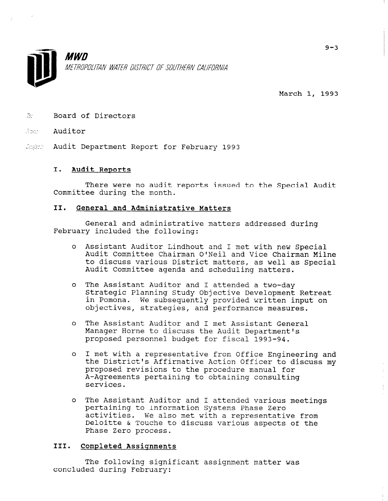

March 1, 1993

 $\mathbb{Z}^r$  Board of Directors

### -y:,, Auditor

*Sugist* Audit Department Report for February 1993

## I. Audit Reports

There were no audit reports issued to the Special Audit Committee during the month.

## II. General and Administrative Matters

General and administrative matters addressed during February included the following:

- <sup>0</sup>Assistant Auditor Lindhout and I met with new Special Audit Committee Chairman O'Neil and Vice Chairman Milne to discuss various District matters, as well as Special Audit Committee agenda and scheduling matters.
- <sup>0</sup>The Assistant Auditor and I attended a two-day Strategic Planning Study Objective Development Retreat in Pomona. We subsequently provided written input on objectives, strategies, and performance measures.
- <sup>0</sup>The Assistant Auditor and I met Assistant General Manager Horne to discuss the Audit Department's proposed personnel budget for fiscal 1993-94.
- <sup>0</sup>I met with a representative from Office Engineering and the District's Affirmative Action Officer to discuss my proposed revisions to the procedure manual for A-Agreements pertaining to obtaining consulting services.
- <sup>0</sup>The Assistant Auditor and I attended various meetings pertaining to Information Systems Phase Zero percanning co información systems ruase sero accivities. We also met with a fepresentative filor Deloitte & Touche to discuss various aspects of the Phase Zero process.

# III. Completed Assiqnments

The following significant assignment matter was concluded during February: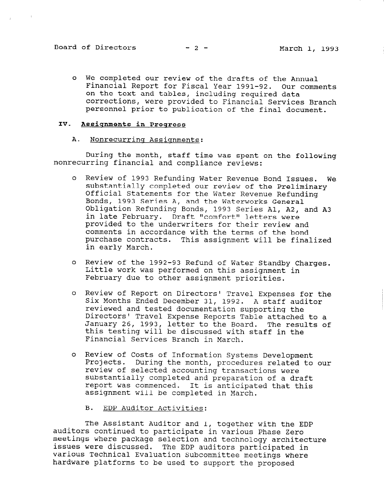<sup>0</sup>We completed our review of the drafts of the Annual Financial Report for Fiscal Year 1991-92. Our comments on the text and tables, including required data corrections, were provided to Financial Services Branch personnel prior to publication of the final document.

## IV. Assignments in Progress

#### A. Nonrecurring Assignments:

During the month, staff time was spent on the following nonrecurring financial and compliance reviews:

- <sup>0</sup>Review of 1993 Refunding Water Revenue Bond Issues. We substantially completed our review of the Preliminary Official Statements for the Water Revenue Refunding Bonds, 1993 Series A, and the Waterworks General Obligation Refunding Bonds, 1993 Series Al, A2, and A3 in late February. Draft "comfort" letters were provided to the underwriters for their review and comments in accordance with the terms of the bond purchase contracts. This assignment will be finalized in early March.
- <sup>0</sup>Review of the 1992-93 Refund of Water Standby Charges. Little work was performed on this assignment in February due to other assignment priorities.
- <sup>0</sup>Review of Report on Directors' Travel Expenses for the Neview of Report on Difectors Thaver Expenses for<br>Six Months Ended December 31, 1992. A staff audit reviewed and tested documentation supporting the Directors' Travel Expense Reports Table attached to a January 26, 1993, letter to the Board. The results of odnuary 20, 1990, recter to the board. The rest Financial Services Branch in March.
- <sup>0</sup>Review of Costs of Information Systems Development neview of costs of information systems bevelopment Projects. During the month, procedures related to our review of selected accounting transactions were<br>substantially completed and preparation of a draft report was commenced. It is anticipated that this report was commenced. It is anticipa
	- B. EDP Auditor Activities:

 $\mathbb{R}$  and the EDP  $\mathbb{R}$  and  $\mathbb{R}$  and  $\mathbb{R}$  and  $\mathbb{R}$  and  $\mathbb{R}$  and  $\mathbb{R}$  and  $\mathbb{R}$  and  $\mathbb{R}$  and  $\mathbb{R}$  and  $\mathbb{R}$  and  $\mathbb{R}$  and  $\mathbb{R}$  and  $\mathbb{R}$  and  $\mathbb{R}$  and  $\mathbb{R}$  and  $\mathbb{$ and I, together with the Phase in various Phase I and I, together with the P auditors continued to participate in various Phase Zero meetings where package selection and technology architecture issues were discussed. The EDP auditors participated in various Technical Evaluation Subcommittee meetings where hardware platforms to be used to support the proposed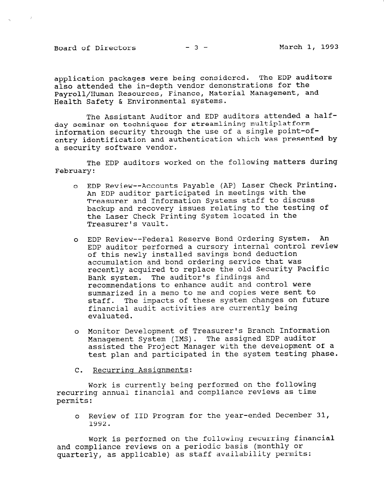Board of Directors  $-3$  - March 1, 1993

 $\sim 20$ 

application packages were being considered. The EDP auditors also attended the in-depth vendor demonstrations for the Payroll/Human Resources, Finance, Material Management, and Health Safety & Environmental systems.

The Assistant Auditor and EDP auditors attended a halfday seminar on techniques for streamlining multiplatform information security through the use of a single point-ofentry identification and authentication which was presented by a security software vendor.

The EDP auditors worked on the following matters during February:

- <sup>0</sup>EDP Review --Accounts Payable (AP) Laser Check Printing. An EDP auditor participated in meetings with the Treasurer and Information Systems staff to discuss backup and recovery issues relating to the testing of the Laser Check Printing System located in the Treasurer's vault.
- o EDP Review--Federal Reserve Bond Ordering System. An EDP auditor performed a cursory internal control review of this newly installed savings bond deduction accumulation and bond ordering service that was recently acquired to replace the old Security Pacific Bank system. The auditor's findings and recommendations to enhance audit and control were summarized in a memo to me and copies were sent to staff. The impacts of these system changes on future financial audit activities are currently being evaluated.
- <sup>0</sup>Monitor Development of Treasurer's Branch Information Management System (IMS). The assigned EDP auditor assisted the Project Manager with the development of a test plan and participated in the system testing phase.
- C. Recurrinq Assiqnments:

Work is currently being performed on the following recurring annual financial and compliance reviews as time permits:

<sup>0</sup>Review of IID Program for the year-ended December 31, 1992.<br>Kevit

Work is performed on the following recurring financial and compliance reviews on a periodic basis (monthly or quarterly, as applicable) as staff availability permits: